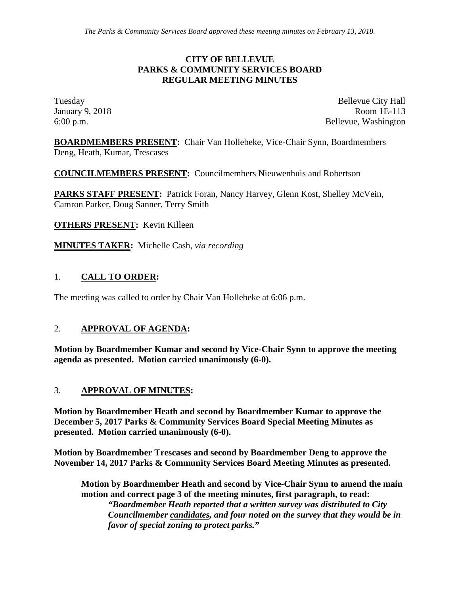#### **CITY OF BELLEVUE PARKS & COMMUNITY SERVICES BOARD REGULAR MEETING MINUTES**

Tuesday Bellevue City Hall January 9, 2018 Room 1E-113 6:00 p.m. Bellevue, Washington

**BOARDMEMBERS PRESENT:** Chair Van Hollebeke, Vice-Chair Synn, Boardmembers Deng, Heath, Kumar, Trescases

**COUNCILMEMBERS PRESENT:** Councilmembers Nieuwenhuis and Robertson

**PARKS STAFF PRESENT:** Patrick Foran, Nancy Harvey, Glenn Kost, Shelley McVein, Camron Parker, Doug Sanner, Terry Smith

**OTHERS PRESENT:** Kevin Killeen

**MINUTES TAKER:** Michelle Cash, *via recording*

### 1. **CALL TO ORDER:**

The meeting was called to order by Chair Van Hollebeke at 6:06 p.m.

#### 2. **APPROVAL OF AGENDA:**

**Motion by Boardmember Kumar and second by Vice-Chair Synn to approve the meeting agenda as presented. Motion carried unanimously (6-0).**

#### 3. **APPROVAL OF MINUTES:**

**Motion by Boardmember Heath and second by Boardmember Kumar to approve the December 5, 2017 Parks & Community Services Board Special Meeting Minutes as presented. Motion carried unanimously (6-0).**

**Motion by Boardmember Trescases and second by Boardmember Deng to approve the November 14, 2017 Parks & Community Services Board Meeting Minutes as presented.** 

**Motion by Boardmember Heath and second by Vice-Chair Synn to amend the main motion and correct page 3 of the meeting minutes, first paragraph, to read:**  *"Boardmember Heath reported that a written survey was distributed to City Councilmember candidates, and four noted on the survey that they would be in favor of special zoning to protect parks."*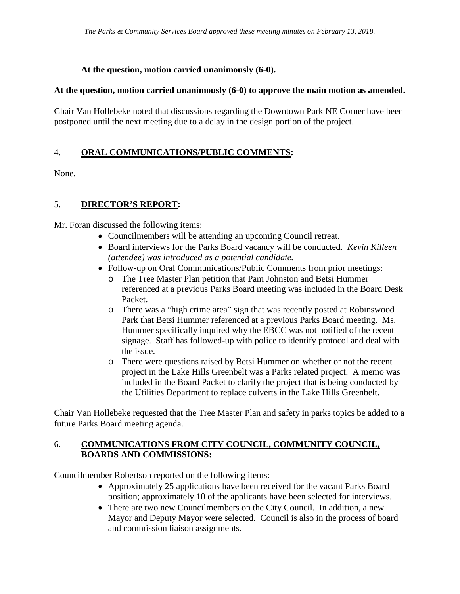### **At the question, motion carried unanimously (6-0).**

#### **At the question, motion carried unanimously (6-0) to approve the main motion as amended.**

Chair Van Hollebeke noted that discussions regarding the Downtown Park NE Corner have been postponed until the next meeting due to a delay in the design portion of the project.

# 4. **ORAL COMMUNICATIONS/PUBLIC COMMENTS:**

None.

# 5. **DIRECTOR'S REPORT:**

Mr. Foran discussed the following items:

- Councilmembers will be attending an upcoming Council retreat.
- Board interviews for the Parks Board vacancy will be conducted. *Kevin Killeen (attendee) was introduced as a potential candidate.*
- Follow-up on Oral Communications/Public Comments from prior meetings:
	- o The Tree Master Plan petition that Pam Johnston and Betsi Hummer referenced at a previous Parks Board meeting was included in the Board Desk Packet.
	- o There was a "high crime area" sign that was recently posted at Robinswood Park that Betsi Hummer referenced at a previous Parks Board meeting. Ms. Hummer specifically inquired why the EBCC was not notified of the recent signage. Staff has followed-up with police to identify protocol and deal with the issue.
	- o There were questions raised by Betsi Hummer on whether or not the recent project in the Lake Hills Greenbelt was a Parks related project. A memo was included in the Board Packet to clarify the project that is being conducted by the Utilities Department to replace culverts in the Lake Hills Greenbelt.

Chair Van Hollebeke requested that the Tree Master Plan and safety in parks topics be added to a future Parks Board meeting agenda.

#### 6. **COMMUNICATIONS FROM CITY COUNCIL, COMMUNITY COUNCIL, BOARDS AND COMMISSIONS:**

Councilmember Robertson reported on the following items:

- Approximately 25 applications have been received for the vacant Parks Board position; approximately 10 of the applicants have been selected for interviews.
- There are two new Councilmembers on the City Council. In addition, a new Mayor and Deputy Mayor were selected. Council is also in the process of board and commission liaison assignments.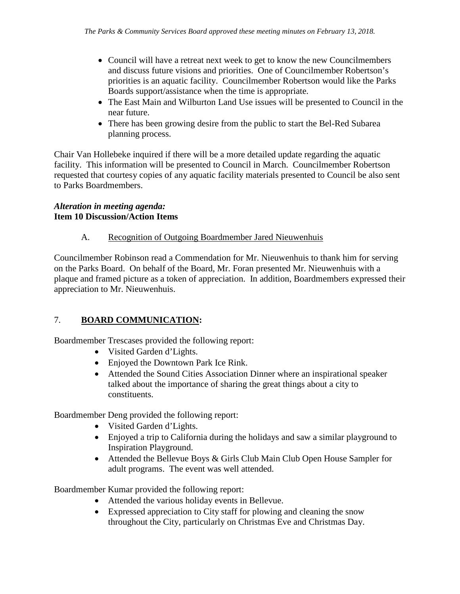- Council will have a retreat next week to get to know the new Councilmembers and discuss future visions and priorities. One of Councilmember Robertson's priorities is an aquatic facility. Councilmember Robertson would like the Parks Boards support/assistance when the time is appropriate.
- The East Main and Wilburton Land Use issues will be presented to Council in the near future.
- There has been growing desire from the public to start the Bel-Red Subarea planning process.

Chair Van Hollebeke inquired if there will be a more detailed update regarding the aquatic facility. This information will be presented to Council in March. Councilmember Robertson requested that courtesy copies of any aquatic facility materials presented to Council be also sent to Parks Boardmembers.

#### *Alteration in meeting agenda:* **Item 10 Discussion/Action Items**

### A. Recognition of Outgoing Boardmember Jared Nieuwenhuis

Councilmember Robinson read a Commendation for Mr. Nieuwenhuis to thank him for serving on the Parks Board. On behalf of the Board, Mr. Foran presented Mr. Nieuwenhuis with a plaque and framed picture as a token of appreciation. In addition, Boardmembers expressed their appreciation to Mr. Nieuwenhuis.

# 7. **BOARD COMMUNICATION:**

Boardmember Trescases provided the following report:

- Visited Garden d'Lights.
- Enjoyed the Downtown Park Ice Rink.
- Attended the Sound Cities Association Dinner where an inspirational speaker talked about the importance of sharing the great things about a city to constituents.

Boardmember Deng provided the following report:

- Visited Garden d'Lights.
- Enjoyed a trip to California during the holidays and saw a similar playground to Inspiration Playground.
- Attended the Bellevue Boys & Girls Club Main Club Open House Sampler for adult programs. The event was well attended.

Boardmember Kumar provided the following report:

- Attended the various holiday events in Bellevue.
- Expressed appreciation to City staff for plowing and cleaning the snow throughout the City, particularly on Christmas Eve and Christmas Day.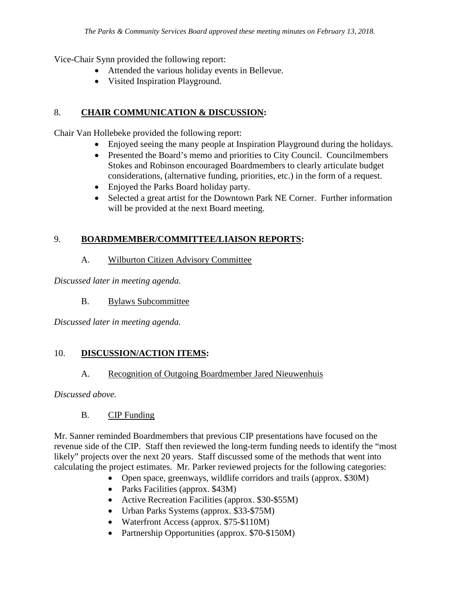Vice-Chair Synn provided the following report:

- Attended the various holiday events in Bellevue.
- Visited Inspiration Playground.

# 8. **CHAIR COMMUNICATION & DISCUSSION:**

Chair Van Hollebeke provided the following report:

- Enjoyed seeing the many people at Inspiration Playground during the holidays.
- Presented the Board's memo and priorities to City Council. Councilmembers Stokes and Robinson encouraged Boardmembers to clearly articulate budget considerations, (alternative funding, priorities, etc.) in the form of a request.
- Enjoyed the Parks Board holiday party.
- Selected a great artist for the Downtown Park NE Corner. Further information will be provided at the next Board meeting.

# 9. **BOARDMEMBER/COMMITTEE/LIAISON REPORTS:**

A. Wilburton Citizen Advisory Committee

*Discussed later in meeting agenda.*

B. Bylaws Subcommittee

*Discussed later in meeting agenda.*

### 10. **DISCUSSION/ACTION ITEMS:**

### A. Recognition of Outgoing Boardmember Jared Nieuwenhuis

*Discussed above.*

B. CIP Funding

Mr. Sanner reminded Boardmembers that previous CIP presentations have focused on the revenue side of the CIP. Staff then reviewed the long-term funding needs to identify the "most likely" projects over the next 20 years. Staff discussed some of the methods that went into calculating the project estimates. Mr. Parker reviewed projects for the following categories:

- Open space, greenways, wildlife corridors and trails (approx. \$30M)
- Parks Facilities (approx. \$43M)
- Active Recreation Facilities (approx. \$30-\$55M)
- Urban Parks Systems (approx. \$33-\$75M)
- Waterfront Access (approx. \$75-\$110M)
- Partnership Opportunities (approx. \$70-\$150M)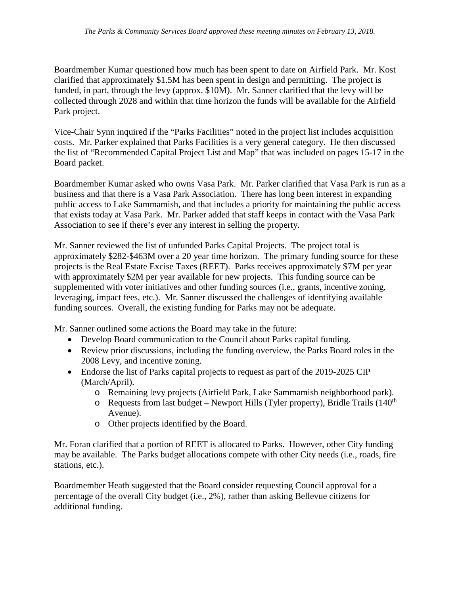Boardmember Kumar questioned how much has been spent to date on Airfield Park. Mr. Kost clarified that approximately \$1.5M has been spent in design and permitting. The project is funded, in part, through the levy (approx. \$10M). Mr. Sanner clarified that the levy will be collected through 2028 and within that time horizon the funds will be available for the Airfield Park project.

Vice-Chair Synn inquired if the "Parks Facilities" noted in the project list includes acquisition costs. Mr. Parker explained that Parks Facilities is a very general category. He then discussed the list of "Recommended Capital Project List and Map" that was included on pages 15-17 in the Board packet.

Boardmember Kumar asked who owns Vasa Park. Mr. Parker clarified that Vasa Park is run as a business and that there is a Vasa Park Association. There has long been interest in expanding public access to Lake Sammamish, and that includes a priority for maintaining the public access that exists today at Vasa Park. Mr. Parker added that staff keeps in contact with the Vasa Park Association to see if there's ever any interest in selling the property.

Mr. Sanner reviewed the list of unfunded Parks Capital Projects. The project total is approximately \$282-\$463M over a 20 year time horizon. The primary funding source for these projects is the Real Estate Excise Taxes (REET). Parks receives approximately \$7M per year with approximately \$2M per year available for new projects. This funding source can be supplemented with voter initiatives and other funding sources (i.e., grants, incentive zoning, leveraging, impact fees, etc.). Mr. Sanner discussed the challenges of identifying available funding sources. Overall, the existing funding for Parks may not be adequate.

Mr. Sanner outlined some actions the Board may take in the future:

- Develop Board communication to the Council about Parks capital funding.
- Review prior discussions, including the funding overview, the Parks Board roles in the 2008 Levy, and incentive zoning.
- Endorse the list of Parks capital projects to request as part of the 2019-2025 CIP (March/April).
	- o Remaining levy projects (Airfield Park, Lake Sammamish neighborhood park).
	- $\circ$  Requests from last budget Newport Hills (Tyler property), Bridle Trails (140<sup>th</sup>) Avenue).
	- o Other projects identified by the Board.

Mr. Foran clarified that a portion of REET is allocated to Parks. However, other City funding may be available. The Parks budget allocations compete with other City needs (i.e., roads, fire stations, etc.).

Boardmember Heath suggested that the Board consider requesting Council approval for a percentage of the overall City budget (i.e., 2%), rather than asking Bellevue citizens for additional funding.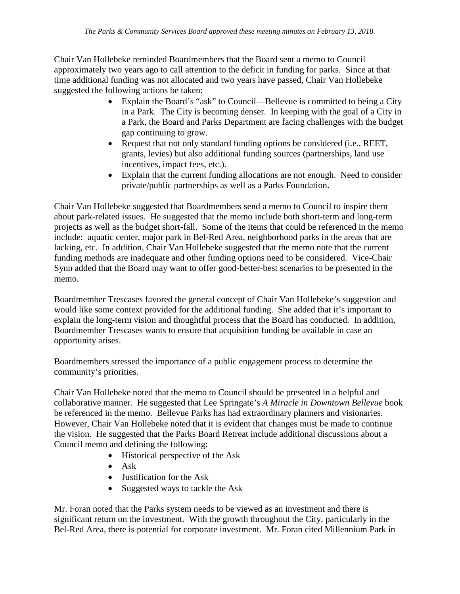Chair Van Hollebeke reminded Boardmembers that the Board sent a memo to Council approximately two years ago to call attention to the deficit in funding for parks. Since at that time additional funding was not allocated and two years have passed, Chair Van Hollebeke suggested the following actions be taken:

- Explain the Board's "ask" to Council—Bellevue is committed to being a City in a Park. The City is becoming denser. In keeping with the goal of a City in a Park, the Board and Parks Department are facing challenges with the budget gap continuing to grow.
- Request that not only standard funding options be considered (i.e., REET, grants, levies) but also additional funding sources (partnerships, land use incentives, impact fees, etc.).
- Explain that the current funding allocations are not enough. Need to consider private/public partnerships as well as a Parks Foundation.

Chair Van Hollebeke suggested that Boardmembers send a memo to Council to inspire them about park-related issues. He suggested that the memo include both short-term and long-term projects as well as the budget short-fall. Some of the items that could be referenced in the memo include: aquatic center, major park in Bel-Red Area, neighborhood parks in the areas that are lacking, etc. In addition, Chair Van Hollebeke suggested that the memo note that the current funding methods are inadequate and other funding options need to be considered. Vice-Chair Synn added that the Board may want to offer good-better-best scenarios to be presented in the memo.

Boardmember Trescases favored the general concept of Chair Van Hollebeke's suggestion and would like some context provided for the additional funding. She added that it's important to explain the long-term vision and thoughtful process that the Board has conducted. In addition, Boardmember Trescases wants to ensure that acquisition funding be available in case an opportunity arises.

Boardmembers stressed the importance of a public engagement process to determine the community's priorities.

Chair Van Hollebeke noted that the memo to Council should be presented in a helpful and collaborative manner. He suggested that Lee Springate's *A Miracle in Downtown Bellevue* book be referenced in the memo. Bellevue Parks has had extraordinary planners and visionaries. However, Chair Van Hollebeke noted that it is evident that changes must be made to continue the vision. He suggested that the Parks Board Retreat include additional discussions about a Council memo and defining the following:

- Historical perspective of the Ask
- Ask
- Justification for the Ask
- Suggested ways to tackle the Ask

Mr. Foran noted that the Parks system needs to be viewed as an investment and there is significant return on the investment. With the growth throughout the City, particularly in the Bel-Red Area, there is potential for corporate investment. Mr. Foran cited Millennium Park in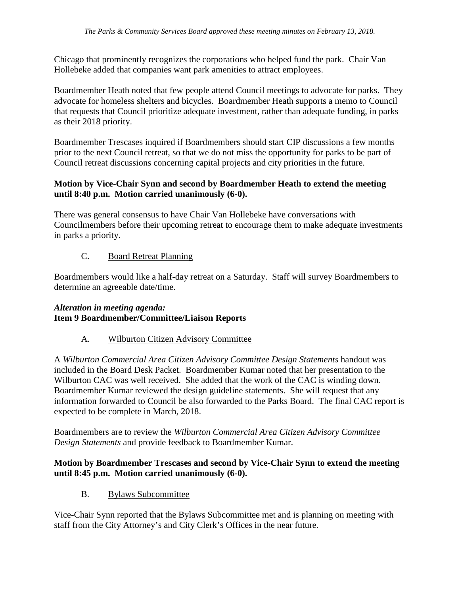Chicago that prominently recognizes the corporations who helped fund the park. Chair Van Hollebeke added that companies want park amenities to attract employees.

Boardmember Heath noted that few people attend Council meetings to advocate for parks. They advocate for homeless shelters and bicycles. Boardmember Heath supports a memo to Council that requests that Council prioritize adequate investment, rather than adequate funding, in parks as their 2018 priority.

Boardmember Trescases inquired if Boardmembers should start CIP discussions a few months prior to the next Council retreat, so that we do not miss the opportunity for parks to be part of Council retreat discussions concerning capital projects and city priorities in the future.

#### **Motion by Vice-Chair Synn and second by Boardmember Heath to extend the meeting until 8:40 p.m. Motion carried unanimously (6-0).**

There was general consensus to have Chair Van Hollebeke have conversations with Councilmembers before their upcoming retreat to encourage them to make adequate investments in parks a priority.

# C. Board Retreat Planning

Boardmembers would like a half-day retreat on a Saturday. Staff will survey Boardmembers to determine an agreeable date/time.

### *Alteration in meeting agenda:* **Item 9 Boardmember/Committee/Liaison Reports**

### A. Wilburton Citizen Advisory Committee

A *Wilburton Commercial Area Citizen Advisory Committee Design Statements* handout was included in the Board Desk Packet. Boardmember Kumar noted that her presentation to the Wilburton CAC was well received. She added that the work of the CAC is winding down. Boardmember Kumar reviewed the design guideline statements. She will request that any information forwarded to Council be also forwarded to the Parks Board. The final CAC report is expected to be complete in March, 2018.

Boardmembers are to review the *Wilburton Commercial Area Citizen Advisory Committee Design Statements* and provide feedback to Boardmember Kumar.

# **Motion by Boardmember Trescases and second by Vice-Chair Synn to extend the meeting until 8:45 p.m. Motion carried unanimously (6-0).**

B. Bylaws Subcommittee

Vice-Chair Synn reported that the Bylaws Subcommittee met and is planning on meeting with staff from the City Attorney's and City Clerk's Offices in the near future.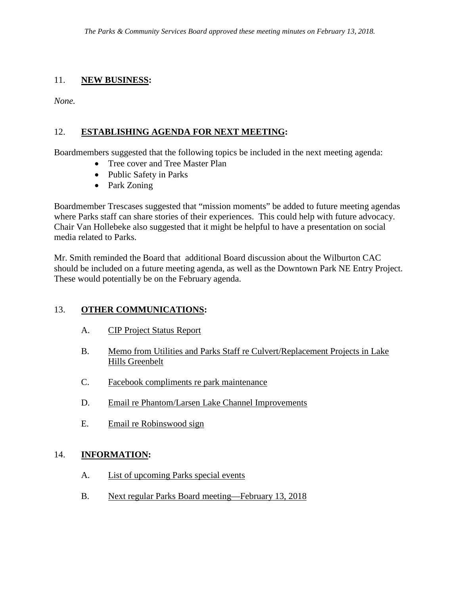### 11. **NEW BUSINESS:**

*None.*

# 12. **ESTABLISHING AGENDA FOR NEXT MEETING:**

Boardmembers suggested that the following topics be included in the next meeting agenda:

- Tree cover and Tree Master Plan
- Public Safety in Parks
- Park Zoning

Boardmember Trescases suggested that "mission moments" be added to future meeting agendas where Parks staff can share stories of their experiences. This could help with future advocacy. Chair Van Hollebeke also suggested that it might be helpful to have a presentation on social media related to Parks.

Mr. Smith reminded the Board that additional Board discussion about the Wilburton CAC should be included on a future meeting agenda, as well as the Downtown Park NE Entry Project. These would potentially be on the February agenda.

# 13. **OTHER COMMUNICATIONS:**

- A. CIP Project Status Report
- B. Memo from Utilities and Parks Staff re Culvert/Replacement Projects in Lake Hills Greenbelt
- C. Facebook compliments re park maintenance
- D. Email re Phantom/Larsen Lake Channel Improvements
- E. Email re Robinswood sign

### 14. **INFORMATION:**

- A. List of upcoming Parks special events
- B. Next regular Parks Board meeting—February 13, 2018